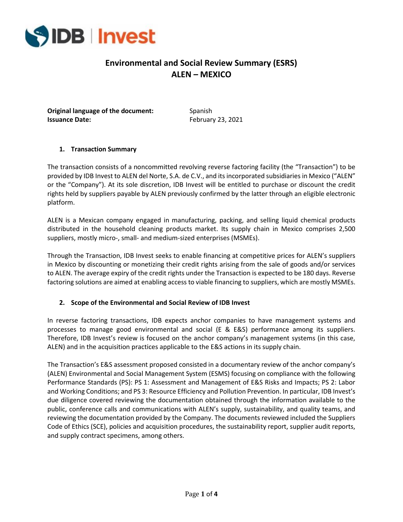

# **Environmental and Social Review Summary (ESRS) ALEN – MEXICO**

**Original language of the document:** Spanish **Issuance Date:** February 23, 2021

#### **1. Transaction Summary**

The transaction consists of a noncommitted revolving reverse factoring facility (the "Transaction") to be provided by IDB Invest to ALEN del Norte, S.A. de C.V., and its incorporated subsidiaries in Mexico ("ALEN" or the "Company"). At its sole discretion, IDB Invest will be entitled to purchase or discount the credit rights held by suppliers payable by ALEN previously confirmed by the latter through an eligible electronic platform.

ALEN is a Mexican company engaged in manufacturing, packing, and selling liquid chemical products distributed in the household cleaning products market. Its supply chain in Mexico comprises 2,500 suppliers, mostly micro-, small- and medium-sized enterprises (MSMEs).

Through the Transaction, IDB Invest seeks to enable financing at competitive prices for ALEN's suppliers in Mexico by discounting or monetizing their credit rights arising from the sale of goods and/or services to ALEN. The average expiry of the credit rights under the Transaction is expected to be 180 days. Reverse factoring solutions are aimed at enabling access to viable financing to suppliers, which are mostly MSMEs.

#### **2. Scope of the Environmental and Social Review of IDB Invest**

In reverse factoring transactions, IDB expects anchor companies to have management systems and processes to manage good environmental and social (E & E&S) performance among its suppliers. Therefore, IDB Invest's review is focused on the anchor company's management systems (in this case, ALEN) and in the acquisition practices applicable to the E&S actions in its supply chain.

The Transaction's E&S assessment proposed consisted in a documentary review of the anchor company's (ALEN) Environmental and Social Management System (ESMS) focusing on compliance with the following Performance Standards (PS): PS 1: Assessment and Management of E&S Risks and Impacts; PS 2: Labor and Working Conditions; and PS 3: Resource Efficiency and Pollution Prevention. In particular, IDB Invest's due diligence covered reviewing the documentation obtained through the information available to the public, conference calls and communications with ALEN's supply, sustainability, and quality teams, and reviewing the documentation provided by the Company. The documents reviewed included the Suppliers Code of Ethics (SCE), policies and acquisition procedures, the sustainability report, supplier audit reports, and supply contract specimens, among others.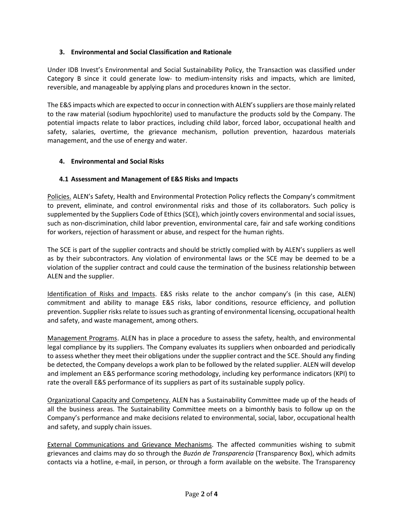### **3. Environmental and Social Classification and Rationale**

Under IDB Invest's Environmental and Social Sustainability Policy, the Transaction was classified under Category B since it could generate low- to medium-intensity risks and impacts, which are limited, reversible, and manageable by applying plans and procedures known in the sector.

The E&S impacts which are expected to occur in connection with ALEN's suppliers are those mainly related to the raw material (sodium hypochlorite) used to manufacture the products sold by the Company. The potential impacts relate to labor practices, including child labor, forced labor, occupational health and safety, salaries, overtime, the grievance mechanism, pollution prevention, hazardous materials management, and the use of energy and water.

#### **4. Environmental and Social Risks**

#### **4.1 Assessment and Management of E&S Risks and Impacts**

Policies. ALEN's Safety, Health and Environmental Protection Policy reflects the Company's commitment to prevent, eliminate, and control environmental risks and those of its collaborators. Such policy is supplemented by the Suppliers Code of Ethics (SCE), which jointly covers environmental and social issues, such as non-discrimination, child labor prevention, environmental care, fair and safe working conditions for workers, rejection of harassment or abuse, and respect for the human rights.

The SCE is part of the supplier contracts and should be strictly complied with by ALEN's suppliers as well as by their subcontractors. Any violation of environmental laws or the SCE may be deemed to be a violation of the supplier contract and could cause the termination of the business relationship between ALEN and the supplier.

Identification of Risks and Impacts. E&S risks relate to the anchor company's (in this case, ALEN) commitment and ability to manage E&S risks, labor conditions, resource efficiency, and pollution prevention. Supplier risks relate to issues such as granting of environmental licensing, occupational health and safety, and waste management, among others.

Management Programs. ALEN has in place a procedure to assess the safety, health, and environmental legal compliance by its suppliers. The Company evaluates its suppliers when onboarded and periodically to assess whether they meet their obligations under the supplier contract and the SCE. Should any finding be detected, the Company develops a work plan to be followed by the related supplier. ALEN will develop and implement an E&S performance scoring methodology, including key performance indicators (KPI) to rate the overall E&S performance of its suppliers as part of its sustainable supply policy.

Organizational Capacity and Competency. ALEN has a Sustainability Committee made up of the heads of all the business areas. The Sustainability Committee meets on a bimonthly basis to follow up on the Company's performance and make decisions related to environmental, social, labor, occupational health and safety, and supply chain issues.

External Communications and Grievance Mechanisms. The affected communities wishing to submit grievances and claims may do so through the *Buzón de Transparencia* (Transparency Box), which admits contacts via a hotline, e-mail, in person, or through a form available on the website. The Transparency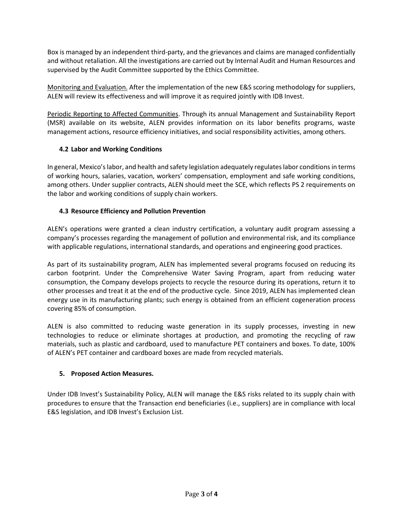Box is managed by an independent third-party, and the grievances and claims are managed confidentially and without retaliation. All the investigations are carried out by Internal Audit and Human Resources and supervised by the Audit Committee supported by the Ethics Committee.

Monitoring and Evaluation. After the implementation of the new E&S scoring methodology for suppliers, ALEN will review its effectiveness and will improve it as required jointly with IDB Invest.

Periodic Reporting to Affected Communities. Through its annual Management and Sustainability Report (MSR) available on its website, ALEN provides information on its labor benefits programs, waste management actions, resource efficiency initiatives, and social responsibility activities, among others.

### **4.2 Labor and Working Conditions**

In general, Mexico's labor, and health and safety legislation adequately regulates labor conditions in terms of working hours, salaries, vacation, workers' compensation, employment and safe working conditions, among others. Under supplier contracts, ALEN should meet the SCE, which reflects PS 2 requirements on the labor and working conditions of supply chain workers.

## **4.3 Resource Efficiency and Pollution Prevention**

ALEN's operations were granted a clean industry certification, a voluntary audit program assessing a company's processes regarding the management of pollution and environmental risk, and its compliance with applicable regulations, international standards, and operations and engineering good practices.

As part of its sustainability program, ALEN has implemented several programs focused on reducing its carbon footprint. Under the Comprehensive Water Saving Program, apart from reducing water consumption, the Company develops projects to recycle the resource during its operations, return it to other processes and treat it at the end of the productive cycle. Since 2019, ALEN has implemented clean energy use in its manufacturing plants; such energy is obtained from an efficient cogeneration process covering 85% of consumption.

ALEN is also committed to reducing waste generation in its supply processes, investing in new technologies to reduce or eliminate shortages at production, and promoting the recycling of raw materials, such as plastic and cardboard, used to manufacture PET containers and boxes. To date, 100% of ALEN's PET container and cardboard boxes are made from recycled materials.

### **5. Proposed Action Measures.**

Under IDB Invest's Sustainability Policy, ALEN will manage the E&S risks related to its supply chain with procedures to ensure that the Transaction end beneficiaries (i.e., suppliers) are in compliance with local E&S legislation, and IDB Invest's Exclusion List.